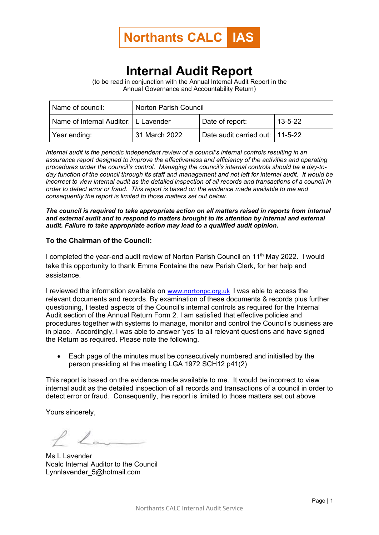

## **Internal Audit Report**

(to be read in conjunction with the Annual Internal Audit Report in the Annual Governance and Accountability Return)

| Name of council:                       | Norton Parish Council |                                 |               |
|----------------------------------------|-----------------------|---------------------------------|---------------|
| Name of Internal Auditor:   L Lavender |                       | Date of report:                 | $13 - 5 - 22$ |
| Year ending:                           | 31 March 2022         | Date audit carried out: 11-5-22 |               |

*Internal audit is the periodic independent review of a council's internal controls resulting in an assurance report designed to improve the effectiveness and efficiency of the activities and operating procedures under the council's control. Managing the council's internal controls should be a day-today function of the council through its staff and management and not left for internal audit. It would be incorrect to view internal audit as the detailed inspection of all records and transactions of a council in order to detect error or fraud. This report is based on the evidence made available to me and consequently the report is limited to those matters set out below.*

*The council is required to take appropriate action on all matters raised in reports from internal and external audit and to respond to matters brought to its attention by internal and external audit. Failure to take appropriate action may lead to a qualified audit opinion.*

## **To the Chairman of the Council:**

I completed the year-end audit review of Norton Parish Council on 11<sup>th</sup> May 2022. I would take this opportunity to thank Emma Fontaine the new Parish Clerk, for her help and assistance.

I reviewed the information available on [www.nortonpc.org.uk](http://www.nortonpc.org.uk/) I was able to access the relevant documents and records. By examination of these documents & records plus further questioning, I tested aspects of the Council's internal controls as required for the Internal Audit section of the Annual Return Form 2. I am satisfied that effective policies and procedures together with systems to manage, monitor and control the Council's business are in place. Accordingly, I was able to answer 'yes' to all relevant questions and have signed the Return as required. Please note the following.

• Each page of the minutes must be consecutively numbered and initialled by the person presiding at the meeting LGA 1972 SCH12 p41(2)

This report is based on the evidence made available to me. It would be incorrect to view internal audit as the detailed inspection of all records and transactions of a council in order to detect error or fraud. Consequently, the report is limited to those matters set out above

Yours sincerely,

Ms L Lavender Ncalc Internal Auditor to the Council Lynnlavender 5@hotmail.com